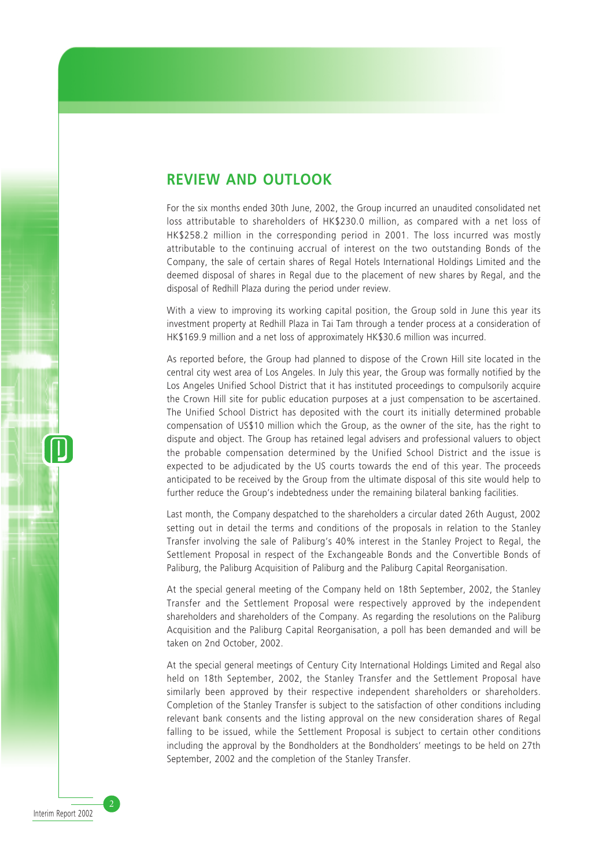### **REVIEW AND OUTLOOK**

For the six months ended 30th June, 2002, the Group incurred an unaudited consolidated net loss attributable to shareholders of HK\$230.0 million, as compared with a net loss of HK\$258.2 million in the corresponding period in 2001. The loss incurred was mostly attributable to the continuing accrual of interest on the two outstanding Bonds of the Company, the sale of certain shares of Regal Hotels International Holdings Limited and the deemed disposal of shares in Regal due to the placement of new shares by Regal, and the disposal of Redhill Plaza during the period under review.

With a view to improving its working capital position, the Group sold in June this year its investment property at Redhill Plaza in Tai Tam through a tender process at a consideration of HK\$169.9 million and a net loss of approximately HK\$30.6 million was incurred.

As reported before, the Group had planned to dispose of the Crown Hill site located in the central city west area of Los Angeles. In July this year, the Group was formally notified by the Los Angeles Unified School District that it has instituted proceedings to compulsorily acquire the Crown Hill site for public education purposes at a just compensation to be ascertained. The Unified School District has deposited with the court its initially determined probable compensation of US\$10 million which the Group, as the owner of the site, has the right to dispute and object. The Group has retained legal advisers and professional valuers to object the probable compensation determined by the Unified School District and the issue is expected to be adjudicated by the US courts towards the end of this year. The proceeds anticipated to be received by the Group from the ultimate disposal of this site would help to further reduce the Group's indebtedness under the remaining bilateral banking facilities.

Last month, the Company despatched to the shareholders a circular dated 26th August, 2002 setting out in detail the terms and conditions of the proposals in relation to the Stanley Transfer involving the sale of Paliburg's 40% interest in the Stanley Project to Regal, the Settlement Proposal in respect of the Exchangeable Bonds and the Convertible Bonds of Paliburg, the Paliburg Acquisition of Paliburg and the Paliburg Capital Reorganisation.

At the special general meeting of the Company held on 18th September, 2002, the Stanley Transfer and the Settlement Proposal were respectively approved by the independent shareholders and shareholders of the Company. As regarding the resolutions on the Paliburg Acquisition and the Paliburg Capital Reorganisation, a poll has been demanded and will be taken on 2nd October, 2002.

At the special general meetings of Century City International Holdings Limited and Regal also held on 18th September, 2002, the Stanley Transfer and the Settlement Proposal have similarly been approved by their respective independent shareholders or shareholders. Completion of the Stanley Transfer is subject to the satisfaction of other conditions including relevant bank consents and the listing approval on the new consideration shares of Regal falling to be issued, while the Settlement Proposal is subject to certain other conditions including the approval by the Bondholders at the Bondholders' meetings to be held on 27th September, 2002 and the completion of the Stanley Transfer.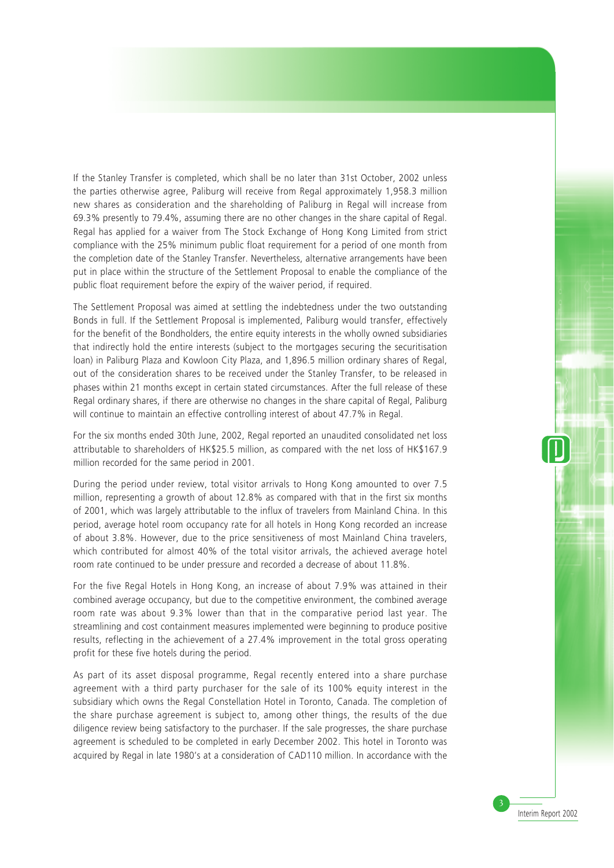If the Stanley Transfer is completed, which shall be no later than 31st October, 2002 unless the parties otherwise agree, Paliburg will receive from Regal approximately 1,958.3 million new shares as consideration and the shareholding of Paliburg in Regal will increase from 69.3% presently to 79.4%, assuming there are no other changes in the share capital of Regal. Regal has applied for a waiver from The Stock Exchange of Hong Kong Limited from strict compliance with the 25% minimum public float requirement for a period of one month from the completion date of the Stanley Transfer. Nevertheless, alternative arrangements have been put in place within the structure of the Settlement Proposal to enable the compliance of the public float requirement before the expiry of the waiver period, if required.

The Settlement Proposal was aimed at settling the indebtedness under the two outstanding Bonds in full. If the Settlement Proposal is implemented, Paliburg would transfer, effectively for the benefit of the Bondholders, the entire equity interests in the wholly owned subsidiaries that indirectly hold the entire interests (subject to the mortgages securing the securitisation loan) in Paliburg Plaza and Kowloon City Plaza, and 1,896.5 million ordinary shares of Regal, out of the consideration shares to be received under the Stanley Transfer, to be released in phases within 21 months except in certain stated circumstances. After the full release of these Regal ordinary shares, if there are otherwise no changes in the share capital of Regal, Paliburg will continue to maintain an effective controlling interest of about 47.7% in Regal.

For the six months ended 30th June, 2002, Regal reported an unaudited consolidated net loss attributable to shareholders of HK\$25.5 million, as compared with the net loss of HK\$167.9 million recorded for the same period in 2001.

During the period under review, total visitor arrivals to Hong Kong amounted to over 7.5 million, representing a growth of about 12.8% as compared with that in the first six months of 2001, which was largely attributable to the influx of travelers from Mainland China. In this period, average hotel room occupancy rate for all hotels in Hong Kong recorded an increase of about 3.8%. However, due to the price sensitiveness of most Mainland China travelers, which contributed for almost 40% of the total visitor arrivals, the achieved average hotel room rate continued to be under pressure and recorded a decrease of about 11.8%.

For the five Regal Hotels in Hong Kong, an increase of about 7.9% was attained in their combined average occupancy, but due to the competitive environment, the combined average room rate was about 9.3% lower than that in the comparative period last year. The streamlining and cost containment measures implemented were beginning to produce positive results, reflecting in the achievement of a 27.4% improvement in the total gross operating profit for these five hotels during the period.

As part of its asset disposal programme, Regal recently entered into a share purchase agreement with a third party purchaser for the sale of its 100% equity interest in the subsidiary which owns the Regal Constellation Hotel in Toronto, Canada. The completion of the share purchase agreement is subject to, among other things, the results of the due diligence review being satisfactory to the purchaser. If the sale progresses, the share purchase agreement is scheduled to be completed in early December 2002. This hotel in Toronto was acquired by Regal in late 1980's at a consideration of CAD110 million. In accordance with the

3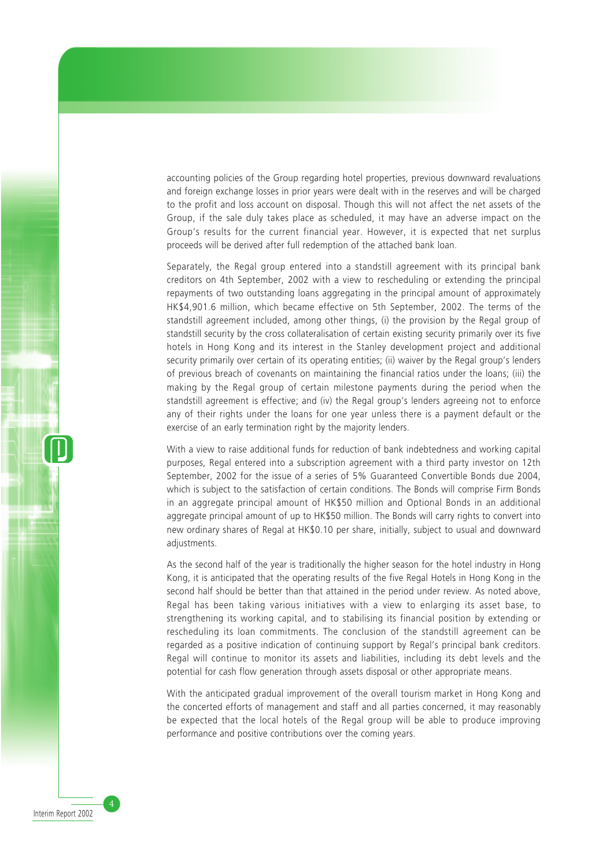accounting policies of the Group regarding hotel properties, previous downward revaluations and foreign exchange losses in prior years were dealt with in the reserves and will be charged to the profit and loss account on disposal. Though this will not affect the net assets of the Group, if the sale duly takes place as scheduled, it may have an adverse impact on the Group's results for the current financial year. However, it is expected that net surplus proceeds will be derived after full redemption of the attached bank loan.

Separately, the Regal group entered into a standstill agreement with its principal bank creditors on 4th September, 2002 with a view to rescheduling or extending the principal repayments of two outstanding loans aggregating in the principal amount of approximately HK\$4,901.6 million, which became effective on 5th September, 2002. The terms of the standstill agreement included, among other things, (i) the provision by the Regal group of standstill security by the cross collateralisation of certain existing security primarily over its five hotels in Hong Kong and its interest in the Stanley development project and additional security primarily over certain of its operating entities; (ii) waiver by the Regal group's lenders of previous breach of covenants on maintaining the financial ratios under the loans; (iii) the making by the Regal group of certain milestone payments during the period when the standstill agreement is effective; and (iv) the Regal group's lenders agreeing not to enforce any of their rights under the loans for one year unless there is a payment default or the exercise of an early termination right by the majority lenders.

With a view to raise additional funds for reduction of bank indebtedness and working capital purposes, Regal entered into a subscription agreement with a third party investor on 12th September, 2002 for the issue of a series of 5% Guaranteed Convertible Bonds due 2004, which is subject to the satisfaction of certain conditions. The Bonds will comprise Firm Bonds in an aggregate principal amount of HK\$50 million and Optional Bonds in an additional aggregate principal amount of up to HK\$50 million. The Bonds will carry rights to convert into new ordinary shares of Regal at HK\$0.10 per share, initially, subject to usual and downward adjustments.

As the second half of the year is traditionally the higher season for the hotel industry in Hong Kong, it is anticipated that the operating results of the five Regal Hotels in Hong Kong in the second half should be better than that attained in the period under review. As noted above, Regal has been taking various initiatives with a view to enlarging its asset base, to strengthening its working capital, and to stabilising its financial position by extending or rescheduling its loan commitments. The conclusion of the standstill agreement can be regarded as a positive indication of continuing support by Regal's principal bank creditors. Regal will continue to monitor its assets and liabilities, including its debt levels and the potential for cash flow generation through assets disposal or other appropriate means.

With the anticipated gradual improvement of the overall tourism market in Hong Kong and the concerted efforts of management and staff and all parties concerned, it may reasonably be expected that the local hotels of the Regal group will be able to produce improving performance and positive contributions over the coming years.

Interim Report 2002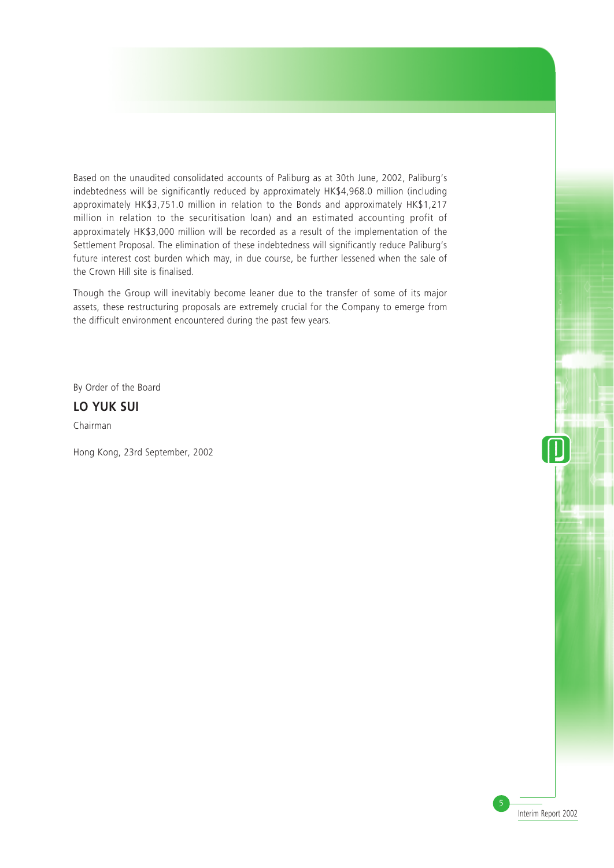Based on the unaudited consolidated accounts of Paliburg as at 30th June, 2002, Paliburg's indebtedness will be significantly reduced by approximately HK\$4,968.0 million (including approximately HK\$3,751.0 million in relation to the Bonds and approximately HK\$1,217 million in relation to the securitisation loan) and an estimated accounting profit of approximately HK\$3,000 million will be recorded as a result of the implementation of the Settlement Proposal. The elimination of these indebtedness will significantly reduce Paliburg's future interest cost burden which may, in due course, be further lessened when the sale of the Crown Hill site is finalised.

Though the Group will inevitably become leaner due to the transfer of some of its major assets, these restructuring proposals are extremely crucial for the Company to emerge from the difficult environment encountered during the past few years.

By Order of the Board

### **LO YUK SUI**

Chairman

Hong Kong, 23rd September, 2002

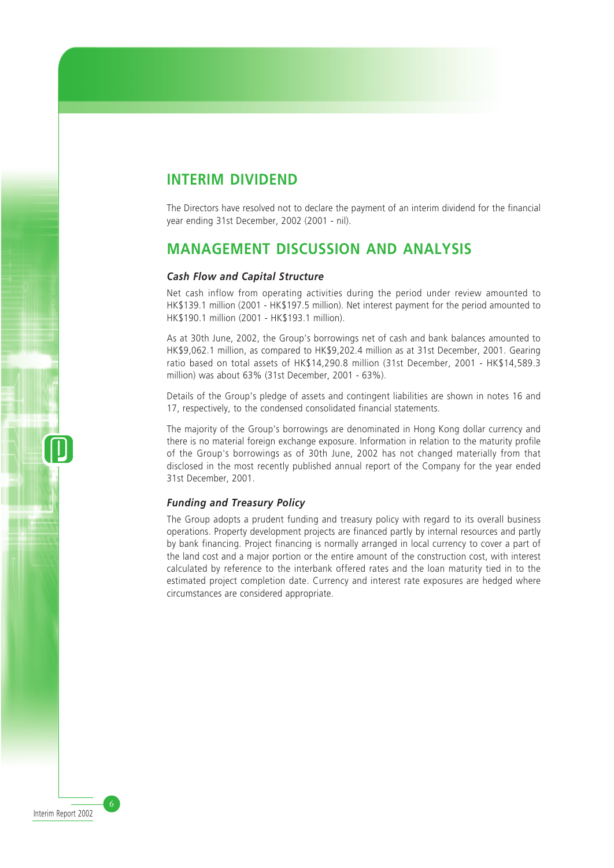## **INTERIM DIVIDEND**

The Directors have resolved not to declare the payment of an interim dividend for the financial year ending 31st December, 2002 (2001 - nil).

# **MANAGEMENT DISCUSSION AND ANALYSIS**

#### *Cash Flow and Capital Structure*

Net cash inflow from operating activities during the period under review amounted to HK\$139.1 million (2001 - HK\$197.5 million). Net interest payment for the period amounted to HK\$190.1 million (2001 - HK\$193.1 million).

As at 30th June, 2002, the Group's borrowings net of cash and bank balances amounted to HK\$9,062.1 million, as compared to HK\$9,202.4 million as at 31st December, 2001. Gearing ratio based on total assets of HK\$14,290.8 million (31st December, 2001 - HK\$14,589.3 million) was about 63% (31st December, 2001 - 63%).

Details of the Group's pledge of assets and contingent liabilities are shown in notes 16 and 17, respectively, to the condensed consolidated financial statements.

The majority of the Group's borrowings are denominated in Hong Kong dollar currency and there is no material foreign exchange exposure. Information in relation to the maturity profile of the Group's borrowings as of 30th June, 2002 has not changed materially from that disclosed in the most recently published annual report of the Company for the year ended 31st December, 2001.

### *Funding and Treasury Policy*

The Group adopts a prudent funding and treasury policy with regard to its overall business operations. Property development projects are financed partly by internal resources and partly by bank financing. Project financing is normally arranged in local currency to cover a part of the land cost and a major portion or the entire amount of the construction cost, with interest calculated by reference to the interbank offered rates and the loan maturity tied in to the estimated project completion date. Currency and interest rate exposures are hedged where circumstances are considered appropriate.

Interim Report 2002